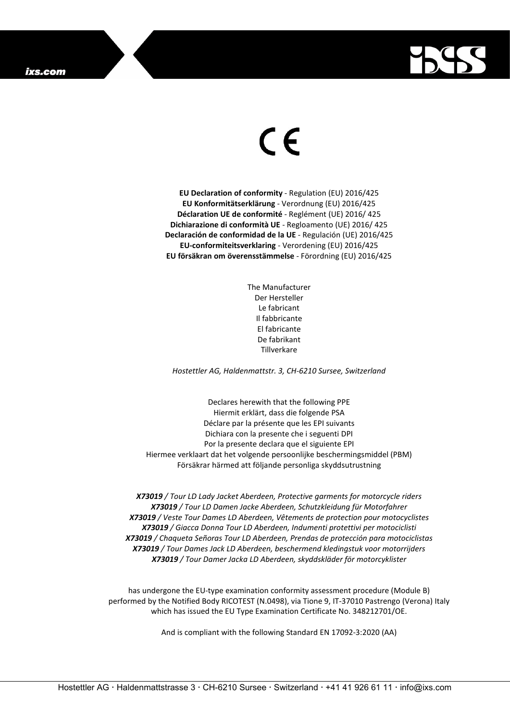

## $\epsilon$

**EU Declaration of conformity** - Regulation (EU) 2016/425 **EU Konformitätserklärung** - Verordnung (EU) 2016/425 **Déclaration UE de conformité** - Reglément (UE) 2016/ 425 **Dichiarazione di conformità UE** - Regloamento (UE) 2016/ 425 **Declaración de conformidad de la UE** - Regulación (UE) 2016/425 **EU-conformiteitsverklaring** - Verordening (EU) 2016/425 **EU försäkran om överensstämmelse** - Förordning (EU) 2016/425

> The Manufacturer Der Hersteller Le fabricant Il fabbricante El fabricante De fabrikant Tillverkare

*Hostettler AG, Haldenmattstr. 3, CH-6210 Sursee, Switzerland*

Declares herewith that the following PPE Hiermit erklärt, dass die folgende PSA Déclare par la présente que les EPI suivants Dichiara con la presente che i seguenti DPI Por la presente declara que el siguiente EPI Hiermee verklaart dat het volgende persoonlijke beschermingsmiddel (PBM) Försäkrar härmed att följande personliga skyddsutrustning

*X73019 / Tour LD Lady Jacket Aberdeen, Protective garments for motorcycle riders X73019 / Tour LD Damen Jacke Aberdeen, Schutzkleidung für Motorfahrer X73019 / Veste Tour Dames LD Aberdeen, Vêtements de protection pour motocyclistes X73019 / Giacca Donna Tour LD Aberdeen, Indumenti protettivi per motociclisti X73019 / Chaqueta Señoras Tour LD Aberdeen, Prendas de protección para motociclistas X73019 / Tour Dames Jack LD Aberdeen, beschermend kledingstuk voor motorrijders X73019 / Tour Damer Jacka LD Aberdeen, skyddskläder för motorcyklister*

has undergone the EU-type examination conformity assessment procedure (Module B) performed by the Notified Body RICOTEST (N.0498), via Tione 9, IT-37010 Pastrengo (Verona) Italy which has issued the EU Type Examination Certificate No. 348212701/OE.

And is compliant with the following Standard EN 17092-3:2020 (AA)